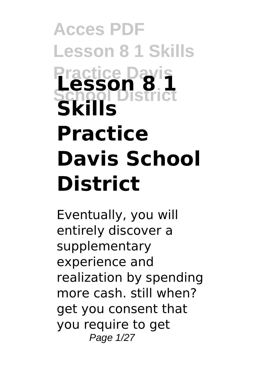# **Acces PDF Lesson 8 1 Skills Practice Davis School District Lesson 8 1 Skills Practice Davis School District**

Eventually, you will entirely discover a supplementary experience and realization by spending more cash. still when? get you consent that you require to get Page 1/27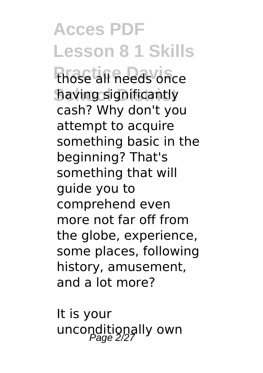**Acces PDF Lesson 8 1 Skills** those all needs once **School District** having significantly cash? Why don't you attempt to acquire something basic in the beginning? That's something that will guide you to comprehend even more not far off from the globe, experience, some places, following history, amusement, and a lot more?

It is your unconditionally own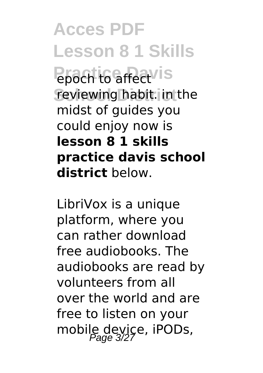**Acces PDF Lesson 8 1 Skills Practic GarrectVis** reviewing habit. in the midst of guides you could enjoy now is **lesson 8 1 skills practice davis school district** below.

LibriVox is a unique platform, where you can rather download free audiobooks. The audiobooks are read by volunteers from all over the world and are free to listen on your mobile device, iPODs,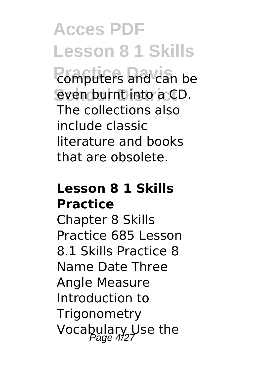**Acces PDF Lesson 8 1 Skills Promputers** and can be even burnt into a CD. The collections also include classic literature and books that are obsolete.

#### **Lesson 8 1 Skills Practice**

Chapter 8 Skills Practice 685 Lesson 8.1 Skills Practice 8 Name Date Three Angle Measure Introduction to **Trigonometry** Vocabulary Use the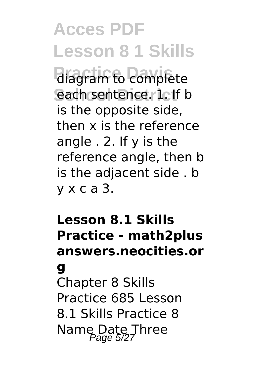**Acces PDF Lesson 8 1 Skills Practice Davis** diagram to complete each sentence. **1.** If b is the opposite side, then x is the reference angle . 2. If y is the reference angle, then b is the adjacent side . b y x c a 3.

#### **Lesson 8.1 Skills Practice - math2plus answers.neocities.or**

**g**

Chapter 8 Skills Practice 685 Lesson 8.1 Skills Practice 8 Name Date Three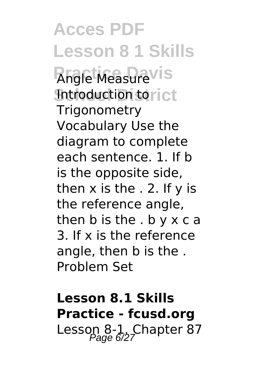**Acces PDF Lesson 8 1 Skills Angle MeasureVis Introduction torict Trigonometry** Vocabulary Use the diagram to complete each sentence. 1. If b is the opposite side, then x is the . 2. If y is the reference angle, then b is the . b y x c a 3. If x is the reference angle, then b is the . Problem Set

**Lesson 8.1 Skills Practice - fcusd.org** Lesson 8-1, Chapter 87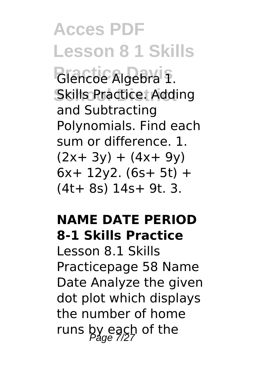**Acces PDF Lesson 8 1 Skills Practice Davis** Glencoe Algebra 1. Skills Practice. Adding and Subtracting Polynomials. Find each sum or difference. 1.  $(2x+3y) + (4x+9y)$  $6x+12y2.$  ( $6s+5t$ ) + (4t+ 8s) 14s+ 9t. 3.

#### **NAME DATE PERIOD 8-1 Skills Practice**

Lesson 8.1 Skills Practicepage 58 Name Date Analyze the given dot plot which displays the number of home runs by each of the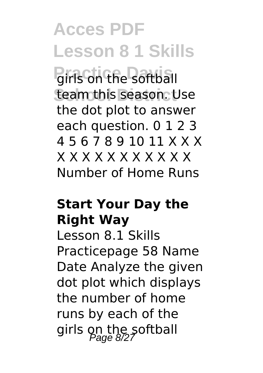**Acces PDF Lesson 8 1 Skills Practice Davis** girls on the softball team this season. Use the dot plot to answer each question. 0 1 2 3 4 5 6 7 8 9 10 11 X X X X X X X X X X X X X X Number of Home Runs

#### **Start Your Day the Right Way**

Lesson 8.1 Skills Practicepage 58 Name Date Analyze the given dot plot which displays the number of home runs by each of the girls on the softball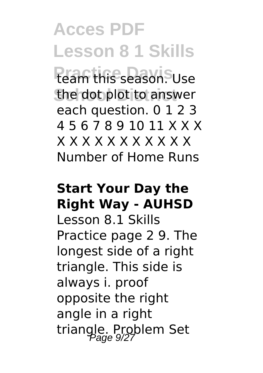**Acces PDF Lesson 8 1 Skills Practice Davis** team this season. Use the dot plot to answer each question. 0 1 2 3 4 5 6 7 8 9 10 11 X X X X X X X X X X X X X X Number of Home Runs

#### **Start Your Day the Right Way - AUHSD**

Lesson 8.1 Skills Practice page 2 9. The longest side of a right triangle. This side is always i. proof opposite the right angle in a right triangle. Problem Set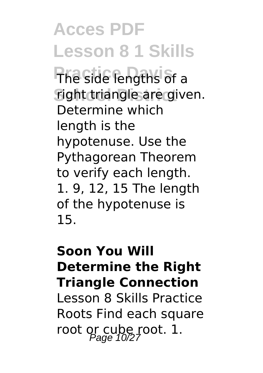**Acces PDF Lesson 8 1 Skills The side lengths of a** right triangle are given. Determine which length is the hypotenuse. Use the Pythagorean Theorem to verify each length. 1. 9, 12, 15 The length of the hypotenuse is 15.

### **Soon You Will Determine the Right Triangle Connection**

Lesson 8 Skills Practice Roots Find each square root or cube root.  $1$ .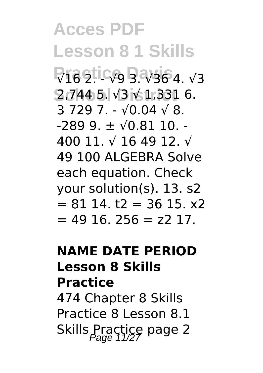**Acces PDF Lesson 8 1 Skills**  $\nabla$ 16 2<sup>1</sup> 4. √9 3. √36 4. √3 **School District** 2,744 5. √3 √ 1,331 6. 3 729 7. - √0.04 √ 8.  $-289.9 + \sqrt{0.81}$  10. -400 11. √ 16 49 12. √ 49 100 ALGEBRA Solve each equation. Check your solution(s). 13. s2  $= 81 14. t2 = 36 15. x2$  $= 49 16. 256 = z2 17.$ 

#### **NAME DATE PERIOD Lesson 8 Skills Practice**

474 Chapter 8 Skills Practice 8 Lesson 8.1 Skills Practice page 2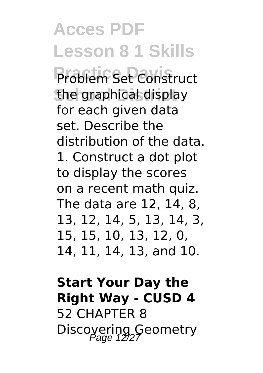**Acces PDF Lesson 8 1 Skills Problem Set Construct** the graphical display for each given data set. Describe the distribution of the data. 1. Construct a dot plot to display the scores on a recent math quiz. The data are 12, 14, 8, 13, 12, 14, 5, 13, 14, 3, 15, 15, 10, 13, 12, 0, 14, 11, 14, 13, and 10.

**Start Your Day the Right Way - CUSD 4** 52 CHAPTER 8 Discovering Geometry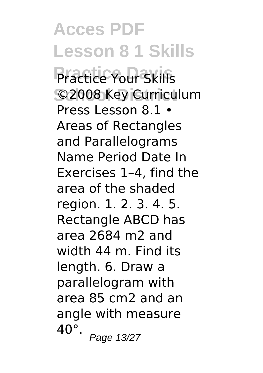**Acces PDF Lesson 8 1 Skills Practice Your Skills** ©2008 Key Curriculum Press Lesson 8.1 • Areas of Rectangles and Parallelograms Name Period Date In Exercises 1–4, find the area of the shaded region. 1. 2. 3. 4. 5. Rectangle ABCD has area 2684 m2 and width 44 m. Find its length. 6. Draw a parallelogram with area 85 cm2 and an angle with measure 40°. Page 13/27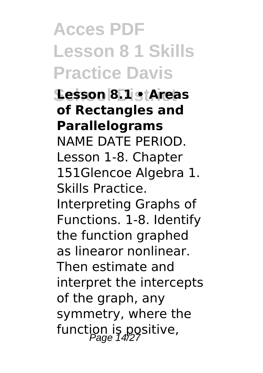**Acces PDF Lesson 8 1 Skills Practice Davis**

**School District Lesson 8.1 • Areas of Rectangles and Parallelograms** NAME DATE PERIOD. Lesson 1-8. Chapter 151Glencoe Algebra 1. Skills Practice. Interpreting Graphs of Functions. 1-8. Identify the function graphed as linearor nonlinear. Then estimate and interpret the intercepts of the graph, any symmetry, where the function is positive,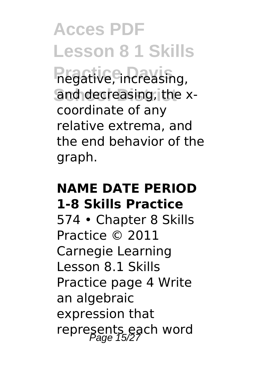**Acces PDF Lesson 8 1 Skills Practice Davis** negative, increasing, and decreasing, the xcoordinate of any relative extrema, and the end behavior of the graph.

#### **NAME DATE PERIOD 1-8 Skills Practice**

574 • Chapter 8 Skills Practice © 2011 Carnegie Learning Lesson 8.1 Skills Practice page 4 Write an algebraic expression that represents each word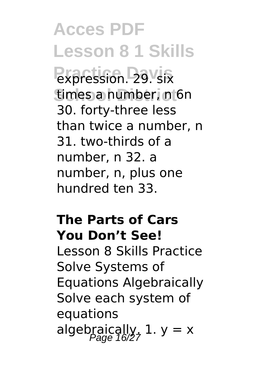**Acces PDF Lesson 8 1 Skills Practice Davis** times a number, n 6n 30. forty-three less than twice a number, n 31. two-thirds of a number, n 32. a number, n, plus one hundred ten 33.

#### **The Parts of Cars You Don't See!**

Lesson 8 Skills Practice Solve Systems of Equations Algebraically Solve each system of equations algebraically, 1.  $y = x$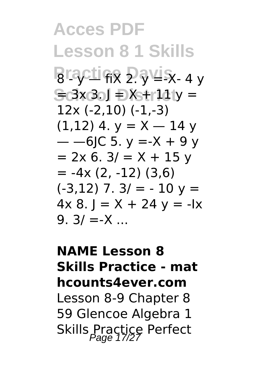**Acces PDF Lesson 8 1 Skills Bractice Davis** 4 y **School District** = 3x 3. J = X + 11 y = 12x (-2,10) (-1,-3)  $(1.12)$  4.  $v = X - 14$  y  $-$  -6IC 5. y =-X + 9 y  $= 2x 6. 3/ = X + 15 y$  $= -4x(2, -12)(3, 6)$  $(-3.12)$  7.  $3/ = -10$  y =  $4x 8.1 = X + 24 y = -1x$ 9.  $3/ = -X$  ...

#### **NAME Lesson 8 Skills Practice - mat hcounts4ever.com**

Lesson 8-9 Chapter 8 59 Glencoe Algebra 1 Skills Practice Perfect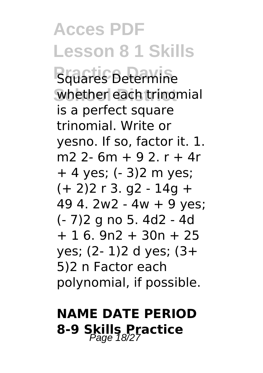**Acces PDF Lesson 8 1 Skills Practice Davis** Squares Determine whether each trinomial is a perfect square trinomial. Write or yesno. If so, factor it. 1. m2 2- 6m + 9 2. r + 4r + 4 yes; (- 3)2 m yes;  $(+ 2)$ 2 r 3. a2 - 14a + 49 4. 2w2 - 4w + 9 yes; (- 7)2 g no 5. 4d2 - 4d  $+ 16.9$ n 2 + 30n + 25 yes; (2- 1)2 d yes; (3+ 5)2 n Factor each polynomial, if possible.

## **NAME DATE PERIOD 8-9 Skills Practice**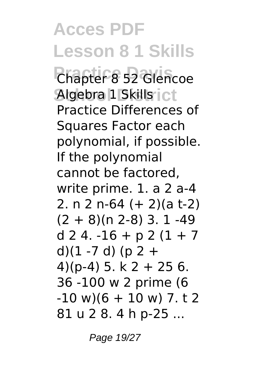**Acces PDF Lesson 8 1 Skills Chapter 8 52 Glencoe** Algebra 1 Skills i ct Practice Differences of Squares Factor each polynomial, if possible. If the polynomial cannot be factored, write prime. 1. a 2 a-4 2. n 2 n-64 (+ 2)(a t-2)  $(2 + 8)(n 2-8)$  3. 1 -49  $d$  2 4. -16 + p 2 (1 + 7 d) $(1 - 7)$  d)  $(p + 2)$ 4)(p-4) 5. k 2 + 25 6. 36 -100 w 2 prime (6  $-10$  w)(6 + 10 w) 7. t 2 81 u 2 8. 4 h p-25 ...

Page 19/27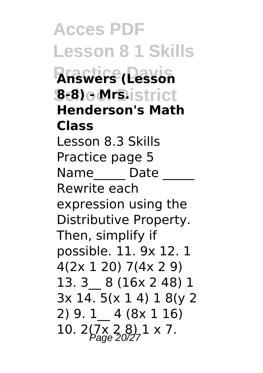**Acces PDF Lesson 8 1 Skills Practice Davis Answers (Lesson School District 8-8) - Mrs. Henderson's Math Class** Lesson 8.3 Skills Practice page 5 Name Date Rewrite each expression using the Distributive Property. Then, simplify if possible. 11. 9x 12. 1 4(2x 1 20) 7(4x 2 9) 13. 3\_\_ 8 (16x 2 48) 1 3x 14. 5(x 1 4) 1 8(y 2 2) 9. 1\_\_ 4 (8x 1 16) 10.  $2(7 \times 2.8)$ <sub>2</sub>  $1 \times 7$ .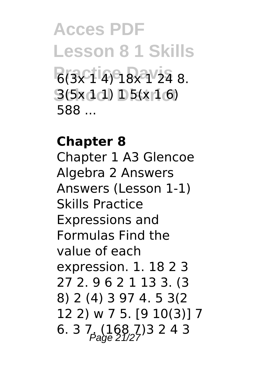**Acces PDF Lesson 8 1 Skills Practice Davis** 6(3x 1 4) 18x 1 24 8. **S(5x 1**d) D5(x 16) 588 ...

#### **Chapter 8**

Chapter 1 A3 Glencoe Algebra 2 Answers Answers (Lesson 1-1) Skills Practice Expressions and Formulas Find the value of each expression. 1. 18 2 3 27 2. 9 6 2 1 13 3. (3 8) 2 (4) 3 97 4. 5 3(2 12 2) w 7 5. [9 10(3)] 7 6. 3  $7(168,7)$ 3 2 4 3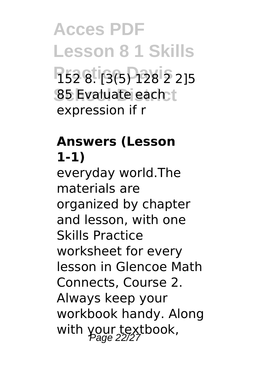**Acces PDF Lesson 8 1 Skills Practice Davis** 152 8. [3(5) 128 2 2]5 **85 Evaluate each t** expression if r

#### **Answers (Lesson 1-1)**

everyday world.The materials are organized by chapter and lesson, with one Skills Practice worksheet for every lesson in Glencoe Math Connects, Course 2. Always keep your workbook handy. Along with your textbook,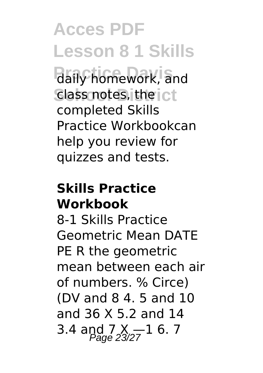**Acces PDF Lesson 8 1 Skills** daily homework, and class notes, the ict completed Skills Practice Workbookcan help you review for quizzes and tests.

#### **Skills Practice Workbook**

8-1 Skills Practice Geometric Mean DATE PE R the geometric mean between each air of numbers. % Circe) (DV and 8 4. 5 and 10 and 36 X 5.2 and 14 3.4 and  $7 \times -16.7$  Page 23/27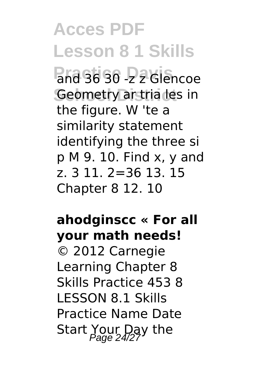**Acces PDF Lesson 8 1 Skills Practice Davis** and 36 30 -z z Glencoe Geometry ar tria les in the figure. W 'te a similarity statement identifying the three si p M 9. 10. Find x, y and z. 3 11. 2=36 13. 15 Chapter 8 12. 10

#### **ahodginscc « For all your math needs!**

© 2012 Carnegie Learning Chapter 8 Skills Practice 453 8 LESSON 8.1 Skills Practice Name Date Start Your Day the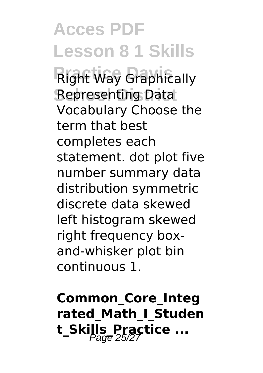**Acces PDF Lesson 8 1 Skills Right Way Graphically Representing Data** Vocabulary Choose the term that best completes each statement. dot plot five number summary data distribution symmetric discrete data skewed left histogram skewed right frequency boxand-whisker plot bin continuous 1.

**Common\_Core\_Integ rated\_Math\_I\_Studen t\_Skills\_Practice ...**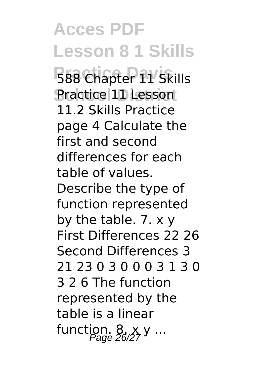**Acces PDF Lesson 8 1 Skills 588 Chapter 11 Skills** Practice 11 Lesson 11.2 Skills Practice page 4 Calculate the first and second differences for each table of values. Describe the type of function represented by the table. 7. x y First Differences 22 26 Second Differences 3 21 23 0 3 0 0 0 3 1 3 0 3 2 6 The function represented by the table is a linear function.  $8, x, y$  ...